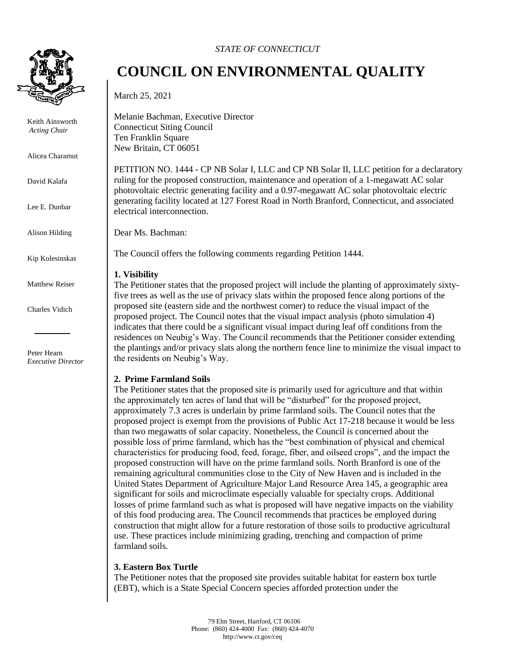

Keith Ainsworth *Acting Chair* 

Alicea Charamut

David Kalafa

Lee E. Dunbar

Alison Hilding

Kip Kolesinskas

Matthew Reiser

Charles Vidich

Peter Hearn *Executive Director*

### *STATE OF CONNECTICUT*

# **COUNCIL ON ENVIRONMENTAL QUALITY**

March 25, 2021

Melanie Bachman, Executive Director Connecticut Siting Council Ten Franklin Square New Britain, CT 06051

PETITION NO. 1444 - CP NB Solar I, LLC and CP NB Solar II, LLC petition for a declaratory ruling for the proposed construction, maintenance and operation of a 1-megawatt AC solar photovoltaic electric generating facility and a 0.97-megawatt AC solar photovoltaic electric generating facility located at 127 Forest Road in North Branford, Connecticut, and associated electrical interconnection.

Dear Ms. Bachman:

The Council offers the following comments regarding Petition 1444.

#### **1. Visibility**

The Petitioner states that the proposed project will include the planting of approximately sixtyfive trees as well as the use of privacy slats within the proposed fence along portions of the proposed site (eastern side and the northwest corner) to reduce the visual impact of the proposed project. The Council notes that the visual impact analysis (photo simulation 4) indicates that there could be a significant visual impact during leaf off conditions from the residences on Neubig's Way. The Council recommends that the Petitioner consider extending the plantings and/or privacy slats along the northern fence line to minimize the visual impact to the residents on Neubig's Way.

## **2. Prime Farmland Soils**

The Petitioner states that the proposed site is primarily used for agriculture and that within the approximately ten acres of land that will be "disturbed" for the proposed project, approximately 7.3 acres is underlain by prime farmland soils. The Council notes that the proposed project is exempt from the provisions of Public Act 17-218 because it would be less than two megawatts of solar capacity. Nonetheless, the Council is concerned about the possible loss of prime farmland, which has the "best combination of physical and chemical characteristics for producing food, feed, forage, fiber, and oilseed crops", and the impact the proposed construction will have on the prime farmland soils. North Branford is one of the remaining agricultural communities close to the City of New Haven and is included in the United States Department of Agriculture Major Land Resource Area 145, a geographic area significant for soils and microclimate especially valuable for specialty crops. Additional losses of prime farmland such as what is proposed will have negative impacts on the viability of this food producing area. The Council recommends that practices be employed during construction that might allow for a future restoration of those soils to productive agricultural use. These practices include minimizing grading, trenching and compaction of prime farmland soils.

## **3. Eastern Box Turtle**

The Petitioner notes that the proposed site provides suitable habitat for eastern box turtle (EBT), which is a State Special Concern species afforded protection under the